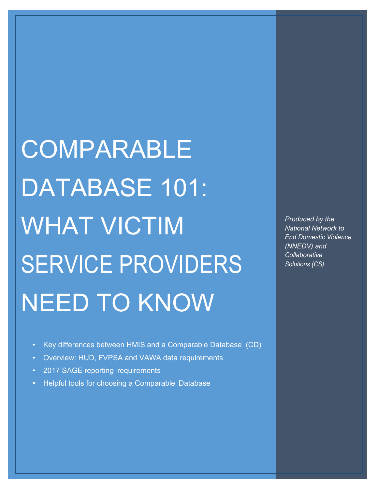COMPARABLE DATABASE 101: WHAT VICTIM SERVICE PROVIDERS NEED TO KNOW

*Produced by the National Network to End Domestic Violence (NNEDV) and Collaborative Solutions (CS).*

- Key differences between HMIS and a Comparable Database (CD)
- Overview: HUD, FVPSA and VAWA data requirements
- 2017 SAGE reporting requirements
- Helpful tools for choosing a Comparable Database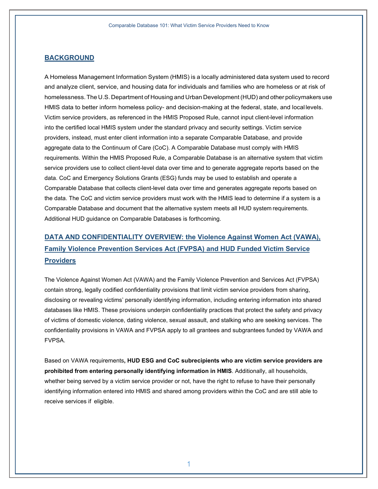### **BACKGROUND**

A Homeless Management Information System (HMIS) is a locally administered data system used to record and analyze client, service, and housing data for individuals and families who are homeless or at risk of homelessness. The U.S. Department of Housing and Urban Development (HUD) and other policymakers use HMIS data to better inform homeless policy- and decision-making at the federal, state, and local levels. Victim service providers, as referenced in the HMIS Proposed Rule, cannot input client-level information into the certified local HMIS system under the standard privacy and security settings. Victim service providers, instead, must enter client information into a separate Comparable Database, and provide aggregate data to the Continuum of Care (CoC). A Comparable Database must comply with HMIS requirements. Within the HMIS Proposed Rule, a Comparable Database is an alternative system that victim service providers use to collect client-level data over time and to generate aggregate reports based on the data. CoC and Emergency Solutions Grants (ESG) funds may be used to establish and operate a Comparable Database that collects client-level data over time and generates aggregate reports based on the data. The CoC and victim service providers must work with the HMIS lead to determine if a system is a Comparable Database and document that the alternative system meets all HUD system requirements. Additional HUD guidance on Comparable Databases is forthcoming.

# **DATA AND CONFIDENTIALITY OVERVIEW: the Violence Against Women Act (VAWA), Family Violence Prevention Services Act (FVPSA) and HUD Funded Victim Service Providers**

The Violence Against Women Act (VAWA) and the Family Violence Prevention and Services Act (FVPSA) contain strong, legally codified confidentiality provisions that limit victim service providers from sharing, disclosing or revealing victims' personally identifying information, including entering information into shared databases like HMIS. These provisions underpin confidentiality practices that protect the safety and privacy of victims of domestic violence, dating violence, sexual assault, and stalking who are seeking services. The confidentiality provisions in VAWA and FVPSA apply to all grantees and subgrantees funded by VAWA and FVPSA.

Based on VAWA requirements**, HUD ESG and CoC subrecipients who are victim service providers are prohibited from entering personally identifying information in HMIS**. Additionally, all households, whether being served by a victim service provider or not, have the right to refuse to have their personally identifying information entered into HMIS and shared among providers within the CoC and are still able to receive services if eligible.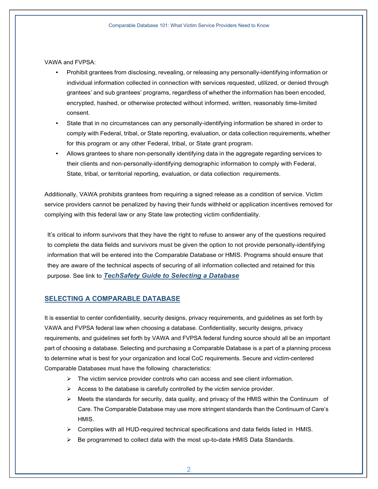VAWA and FVPSA:

- Prohibit grantees from disclosing, revealing, or releasing any personally-identifying information or individual information collected in connection with services requested, utilized, or denied through grantees' and sub grantees' programs, regardless of whether the information has been encoded, encrypted, hashed, or otherwise protected without informed, written, reasonably time-limited consent.
- State that in no circumstances can any personally-identifying information be shared in order to comply with Federal, tribal, or State reporting, evaluation, or data collection requirements, whether for this program or any other Federal, tribal, or State grant program.
- Allows grantees to share non-personally identifying data in the aggregate regarding services to their clients and non-personally-identifying demographic information to comply with Federal, State, tribal, or territorial reporting, evaluation, or data collection requirements.

Additionally, VAWA prohibits grantees from requiring a signed release as a condition of service. Victim service providers cannot be penalized by having their funds withheld or application incentives removed for complying with this federal law or any State law protecting victim confidentiality.

It's critical to inform survivors that they have the right to refuse to answer any of the questions required to complete the data fields and survivors must be given the option to not provide personally-identifying information that will be entered into the Comparable Database or HMIS. Programs should ensure that they are aware of the technical aspects of securing of all information collected and retained for this purpose. See link to *TechSafety Guide to Selecting a Database*

# **SELECTING A COMPARABLE DATABASE**

It is essential to center confidentiality, security designs, privacy requirements, and guidelines as set forth by VAWA and FVPSA federal law when choosing a database. Confidentiality, security designs, privacy requirements, and guidelines set forth by VAWA and FVPSA federal funding source should all be an important part of choosing a database. Selecting and purchasing a Comparable Database is a part of a planning process to determine what is best for your organization and local CoC requirements. Secure and victim-centered Comparable Databases must have the following characteristics:

- $\triangleright$  The victim service provider controls who can access and see client information.
- $\triangleright$  Access to the database is carefully controlled by the victim service provider.
- $\triangleright$  Meets the standards for security, data quality, and privacy of the HMIS within the Continuum of Care. The Comparable Database may use more stringent standards than the Continuum of Care's HMIS.
- $\triangleright$  Complies with all HUD-required technical specifications and data fields listed in HMIS.
- $\triangleright$  Be programmed to collect data with the most up-to-date HMIS Data Standards.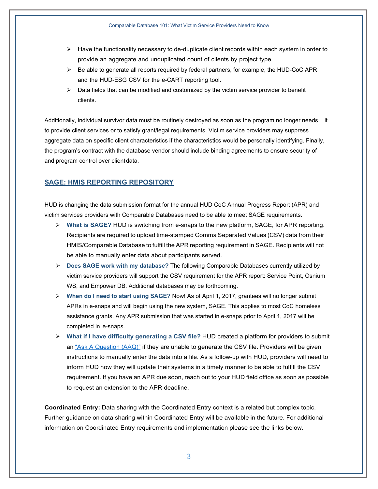- $\triangleright$  Have the functionality necessary to de-duplicate client records within each system in order to provide an aggregate and unduplicated count of clients by project type.
- $\triangleright$  Be able to generate all reports required by federal partners, for example, the HUD-CoC APR and the HUD-ESG CSV for the e-CART reporting tool.
- $\triangleright$  Data fields that can be modified and customized by the victim service provider to benefit clients.

Additionally, individual survivor data must be routinely destroyed as soon as the program no longer needs it to provide client services or to satisfy grant/legal requirements. Victim service providers may suppress aggregate data on specific client characteristics if the characteristics would be personally identifying. Finally, the program's contract with the database vendor should include binding agreements to ensure security of and program control over clientdata.

#### **SAGE: HMIS REPORTING REPOSITORY**

HUD is changing the data submission format for the annual HUD CoC Annual Progress Report (APR) and victim services providers with Comparable Databases need to be able to meet SAGE requirements.

- Ø **What is SAGE?** HUD is switching from e-snaps to the new platform, SAGE, for APR reporting. Recipients are required to upload time-stamped Comma Separated Values (CSV) data from their HMIS/Comparable Database to fulfill the APR reporting requirement in SAGE. Recipients will not be able to manually enter data about participants served.
- Ø **Does SAGE work with my database?** The following Comparable Databases currently utilized by victim service providers will support the CSV requirement for the APR report: Service Point, Osnium WS, and Empower DB. Additional databases may be forthcoming.
- Ø **When do I need to start using SAGE?** Now! As of April 1, 2017, grantees will no longer submit APRs in e-snaps and will begin using the new system, SAGE. This applies to most CoC homeless assistance grants. Any APR submission that was started in e-snaps prior to April 1, 2017 will be completed in e-snaps.
- Ø **What if I have difficulty generating a CSV file?** HUD created a platform for providers to submit an "Ask A Question (AAQ)" if they are unable to generate the CSV file. Providers will be given instructions to manually enter the data into a file. As a follow-up with HUD, providers will need to inform HUD how they will update their systems in a timely manner to be able to fulfill the CSV requirement. If you have an APR due soon, reach out to your HUD field office as soon as possible to request an extension to the APR deadline.

**Coordinated Entry:** Data sharing with the Coordinated Entry context is a related but complex topic. Further guidance on data sharing within Coordinated Entry will be available in the future. For additional information on Coordinated Entry requirements and implementation please see the links below.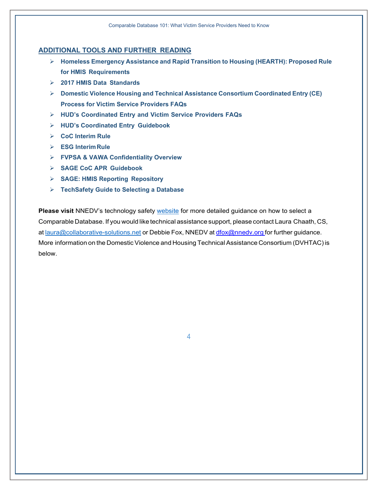# **ADDITIONAL TOOLS AND FURTHER READING**

- Ø **Homeless Emergency Assistance and Rapid Transition to Housing (HEARTH): Proposed Rule for HMIS Requirements**
- Ø **2017 HMIS Data Standards**
- Ø **Domestic Violence Housing and Technical Assistance Consortium Coordinated Entry (CE) Process for Victim Service Providers FAQs**
- Ø **HUD's Coordinated Entry and Victim Service Providers FAQs**
- Ø **HUD's Coordinated Entry Guidebook**
- Ø **CoC Interim Rule**
- Ø **ESG InterimRule**
- Ø **FVPSA & VAWA Confidentiality Overview**
- Ø **SAGE CoC APR Guidebook**
- Ø **SAGE: HMIS Reporting Repository**
- Ø **TechSafety Guide to Selecting a Database**

**Please visit** NNEDV's technology safety website for more detailed guidance on how to select a Comparable Database. If you would like technical assistance support, please contact Laura Chaath, CS, at laura@collaborative-solutions.net or Debbie Fox, NNEDV at dfox@nnedv.org for further guidance. More information on the Domestic Violence and Housing Technical Assistance Consortium (DVHTAC) is below.

4